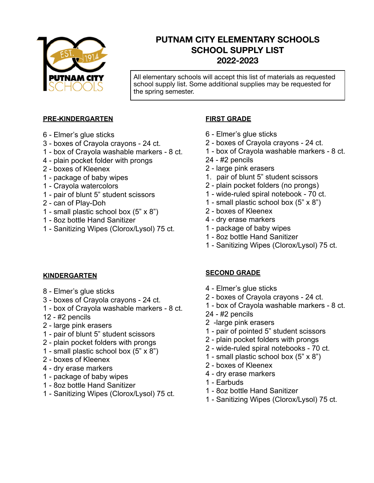

# **PUTNAM CITY ELEMENTARY SCHOOLS SCHOOL SUPPLY LIST 2022-2023**

All elementary schools will accept this list of materials as requested school supply list. Some additional supplies may be requested for the spring semester.

#### **PRE-KINDERGARTEN**

- 6 Elmer's glue sticks
- 3 boxes of Crayola crayons 24 ct.
- 1 box of Crayola washable markers 8 ct.
- 4 plain pocket folder with prongs
- 2 boxes of Kleenex
- 1 package of baby wipes
- 1 Crayola watercolors
- 1 pair of blunt 5" student scissors
- 2 can of Play-Doh
- 1 small plastic school box (5" x 8")
- 1 8oz bottle Hand Sanitizer
- 1 Sanitizing Wipes (Clorox/Lysol) 75 ct.

#### **FIRST GRADE**

- 6 Elmer's glue sticks
- 2 boxes of Crayola crayons 24 ct.
- 1 box of Crayola washable markers 8 ct.
- 24 #2 pencils
- 2 large pink erasers
- 1. pair of blunt 5" student scissors
- 2 plain pocket folders (no prongs)
- 1 wide-ruled spiral notebook 70 ct.
- 1 small plastic school box (5" x 8")
- 2 boxes of Kleenex
- 4 dry erase markers
- 1 package of baby wipes
- 1 8oz bottle Hand Sanitizer
- 1 Sanitizing Wipes (Clorox/Lysol) 75 ct.

#### **KINDERGARTEN**

- 8 Elmer's glue sticks
- 3 boxes of Crayola crayons 24 ct.
- 1 box of Crayola washable markers 8 ct.
- 12 #2 pencils
- 2 large pink erasers
- 1 pair of blunt 5" student scissors
- 2 plain pocket folders with prongs
- 1 small plastic school box  $(5" \times 8")$
- 2 boxes of Kleenex
- 4 dry erase markers
- 1 package of baby wipes
- 1 8oz bottle Hand Sanitizer
- 1 Sanitizing Wipes (Clorox/Lysol) 75 ct.

#### **SECOND GRADE**

- 4 Elmer's glue sticks
- 2 boxes of Crayola crayons 24 ct.
- 1 box of Crayola washable markers 8 ct.
- 24 #2 pencils
- 2 -large pink erasers
- 1 pair of pointed 5" student scissors
- 2 plain pocket folders with prongs
- 2 wide-ruled spiral notebooks 70 ct.
- 1 small plastic school box (5" x 8")
- 2 boxes of Kleenex
- 4 dry erase markers
- 1 Earbuds
- 1 8oz bottle Hand Sanitizer
- 1 Sanitizing Wipes (Clorox/Lysol) 75 ct.